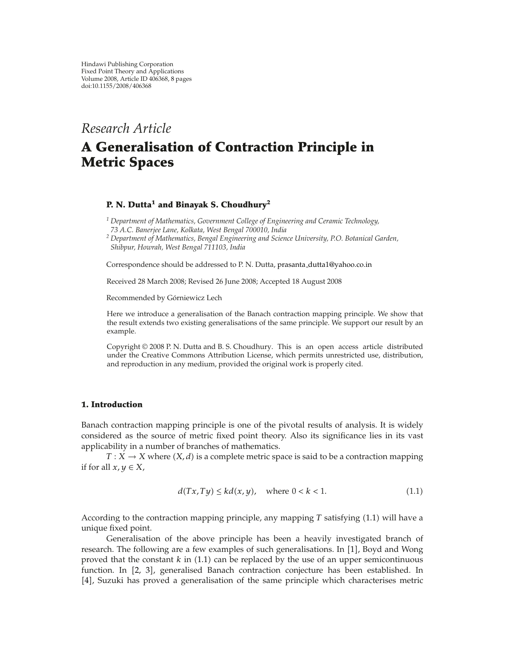## *Research Article*

# **A Generalisation of Contraction Principle in Metric Spaces**

### **P. N. Dutta1 and Binayak S. Choudhury2**

*<sup>1</sup> Department of Mathematics, Government College of Engineering and Ceramic Technology, 73 A.C. Banerjee Lane, Kolkata, West Bengal 700010, India*

*<sup>2</sup> Department of Mathematics, Bengal Engineering and Science University, P.O. Botanical Garden, Shibpur, Howrah, West Bengal 711103, India*

Correspondence should be addressed to P. N. Dutta, prasanta dutta1@yahoo.co.in

Received 28 March 2008; Revised 26 June 2008; Accepted 18 August 2008

Recommended by Gorniewicz Lech ´

Here we introduce a generalisation of the Banach contraction mapping principle. We show that the result extends two existing generalisations of the same principle. We support our result by an example.

Copyright © 2008 P. N. Dutta and B. S. Choudhury. This is an open access article distributed under the Creative Commons Attribution License, which permits unrestricted use, distribution, and reproduction in any medium, provided the original work is properly cited.

#### **1. Introduction**

Banach contraction mapping principle is one of the pivotal results of analysis. It is widely considered as the source of metric fixed point theory. Also its significance lies in its vast applicability in a number of branches of mathematics.

 $T: X \to X$  where  $(X, d)$  is a complete metric space is said to be a contraction mapping if for all  $x, y \in X$ ,

$$
d(Tx, Ty) \le kd(x, y), \quad \text{where } 0 < k < 1. \tag{1.1}
$$

According to the contraction mapping principle, any mapping  $T$  satisfying  $(1.1)$  will have a unique fixed point.

Generalisation of the above principle has been a heavily investigated branch of research. The following are a few examples of such generalisations. In  $[1]$ , Boyd and Wong proved that the constant  $k$  in  $(1.1)$  can be replaced by the use of an upper semicontinuous function. In [2, 3], generalised Banach contraction conjecture has been established. In 4, Suzuki has proved a generalisation of the same principle which characterises metric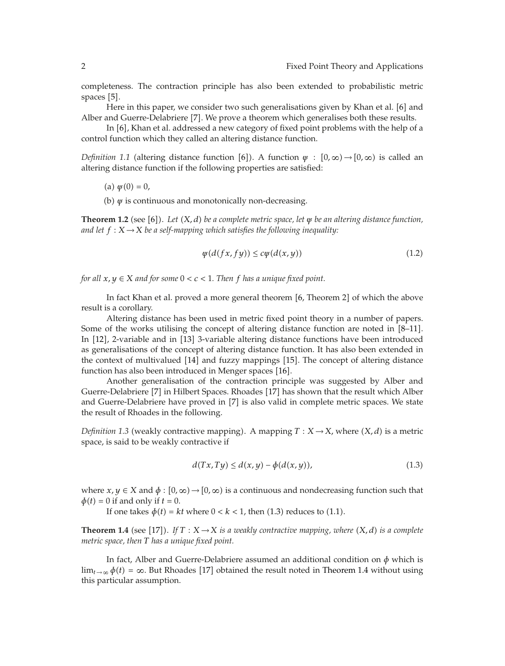completeness. The contraction principle has also been extended to probabilistic metric spaces  $[5]$ .

Here in this paper, we consider two such generalisations given by Khan et al.  $[6]$  and Alber and Guerre-Delabriere [7]. We prove a theorem which generalises both these results.

In  $[6]$ , Khan et al. addressed a new category of fixed point problems with the help of a control function which they called an altering distance function.

*Definition 1.1* (altering distance function [6]). A function  $\psi : [0, \infty) \rightarrow [0, \infty)$  is called an altering distance function if the following properties are satisfied:

(a)  $\psi(0) = 0$ ,

(b) *ψ* is continuous and monotonically non-decreasing.

**Theorem 1.2** (see [6]). Let (X, d) be a complete metric space, let *ψ* be an altering distance function, *and let*  $f: X \rightarrow X$  *be a self-mapping which satisfies the following inequality:* 

$$
\psi(d(fx, fy)) \leq c\psi(d(x, y))\tag{1.2}
$$

*for all*  $x, y \in X$  *and for some*  $0 < c < 1$ *. Then f has a unique fixed point.* 

In fact Khan et al. proved a more general theorem  $[6,$  Theorem 2 $]$  of which the above result is a corollary.

Altering distance has been used in metric fixed point theory in a number of papers. Some of the works utilising the concept of altering distance function are noted in  $[8-11]$ . In [12], 2-variable and in [13] 3-variable altering distance functions have been introduced as generalisations of the concept of altering distance function. It has also been extended in the context of multivalued [14] and fuzzy mappings [15]. The concept of altering distance function has also been introduced in Menger spaces [16].

Another generalisation of the contraction principle was suggested by Alber and Guerre-Delabriere [7] in Hilbert Spaces. Rhoades [17] has shown that the result which Alber and Guerre-Delabriere have proved in [7] is also valid in complete metric spaces. We state the result of Rhoades in the following.

*Definition 1.3* (weakly contractive mapping). A mapping  $T : X \rightarrow X$ , where  $(X, d)$  is a metric space, is said to be weakly contractive if

$$
d(Tx, Ty) \le d(x, y) - \phi(d(x, y)),\tag{1.3}
$$

where  $x, y \in X$  and  $\phi : [0, \infty) \to (0, \infty)$  is a continuous and nondecreasing function such that  $\phi(t) = 0$  if and only if  $t = 0$ .

If one takes  $\phi(t) = kt$  where  $0 < k < 1$ , then  $(1.3)$  reduces to  $(1.1)$ .

**Theorem 1.4** (see [17]). If  $T : X \to X$  is a weakly contractive mapping, where  $(X, d)$  is a complete *metric space, then T has a unique fixed point.*

In fact, Alber and Guerre-Delabriere assumed an additional condition on *φ* which is  $\lim_{t\to\infty}\phi(t) = \infty$ . But Rhoades [17] obtained the result noted in Theorem 1.4 without using this particular assumption.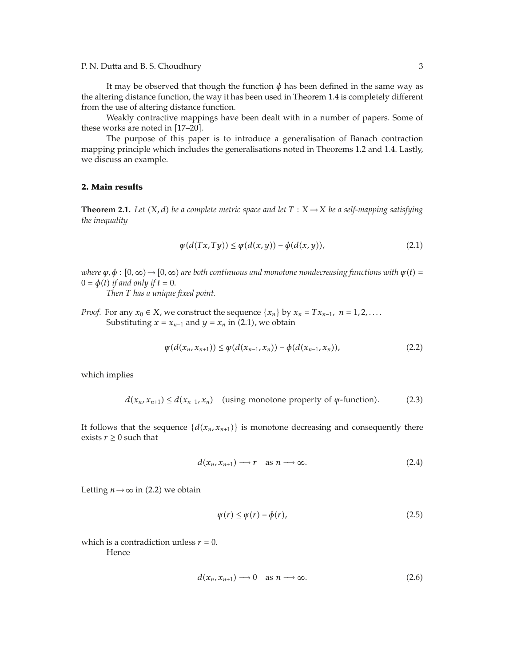P. N. Dutta and B. S. Choudhury 3

It may be observed that though the function  $\phi$  has been defined in the same way as the altering distance function, the way it has been used in Theorem 1.4 is completely different from the use of altering distance function.

Weakly contractive mappings have been dealt with in a number of papers. Some of these works are noted in [17–20].

The purpose of this paper is to introduce a generalisation of Banach contraction mapping principle which includes the generalisations noted in Theorems 1.2 and 1.4. Lastly, we discuss an example.

#### **2. Main results**

**Theorem 2.1.** *Let*  $(X, d)$  *be a complete metric space and let*  $T : X \rightarrow X$  *be a self-mapping satisfying the inequality*

$$
\varphi(d(Tx, Ty)) \le \varphi(d(x, y)) - \varphi(d(x, y)),\tag{2.1}
$$

 $\psi$ ,  $\phi$  :  $[0, \infty) \rightarrow [0, \infty)$  are both continuous and monotone nondecreasing functions with  $\psi(t) =$  $0 = \phi(t)$  *if and only if*  $t = 0$ *.* 

*Then T has a unique fixed point.*

*Proof.* For any  $x_0 \in X$ , we construct the sequence  $\{x_n\}$  by  $x_n = Tx_{n-1}$ ,  $n = 1, 2, \ldots$ . Substituting  $x = x_{n-1}$  and  $y = x_n$  in (2.1), we obtain

$$
\psi(d(x_n, x_{n+1})) \leq \psi(d(x_{n-1}, x_n)) - \phi(d(x_{n-1}, x_n)), \qquad (2.2)
$$

which implies

$$
d(x_n, x_{n+1}) \le d(x_{n-1}, x_n) \quad \text{(using monotone property of } \varphi\text{-function)}.\tag{2.3}
$$

It follows that the sequence  $\{d(x_n, x_{n+1})\}$  is monotone decreasing and consequently there exists  $r \geq 0$  such that

$$
d(x_n, x_{n+1}) \longrightarrow r \quad \text{as } n \longrightarrow \infty. \tag{2.4}
$$

Letting  $n \rightarrow \infty$  in (2.2) we obtain

$$
\psi(r) \le \psi(r) - \phi(r),\tag{2.5}
$$

which is a contradiction unless  $r = 0$ .

Hence

$$
d(x_n, x_{n+1}) \longrightarrow 0 \quad \text{as } n \longrightarrow \infty. \tag{2.6}
$$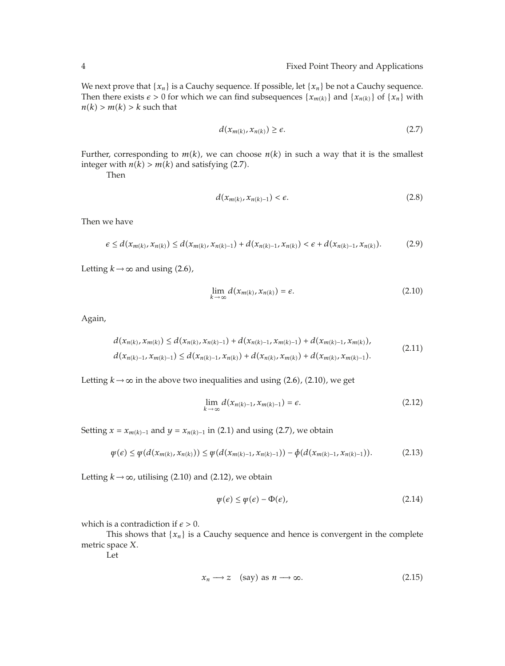We next prove that  $\{x_n\}$  is a Cauchy sequence. If possible, let  $\{x_n\}$  be not a Cauchy sequence. Then there exists  $\epsilon > 0$  for which we can find subsequences  $\{x_{m(k)}\}$  and  $\{x_{n(k)}\}$  of  $\{x_n\}$  with  $n(k) > m(k) > k$  such that

$$
d(x_{m(k)}, x_{n(k)}) \ge \epsilon. \tag{2.7}
$$

Further, corresponding to  $m(k)$ , we can choose  $n(k)$  in such a way that it is the smallest integer with  $n(k) > m(k)$  and satisfying (2.7).

Then

$$
d(x_{m(k)}, x_{n(k)-1}) < \epsilon. \tag{2.8}
$$

Then we have

$$
\epsilon \leq d(x_{m(k)}, x_{n(k)}) \leq d(x_{m(k)}, x_{n(k)-1}) + d(x_{n(k)-1}, x_{n(k)}) < \epsilon + d(x_{n(k)-1}, x_{n(k)}). \tag{2.9}
$$

Letting  $k \rightarrow \infty$  and using (2.6),

$$
\lim_{k \to \infty} d(x_{m(k)}, x_{n(k)}) = \epsilon.
$$
\n(2.10)

Again,

$$
d(x_{n(k)}, x_{m(k)}) \le d(x_{n(k)}, x_{n(k)-1}) + d(x_{n(k)-1}, x_{m(k)-1}) + d(x_{m(k)-1}, x_{m(k)}),
$$
  
\n
$$
d(x_{n(k)-1}, x_{m(k)-1}) \le d(x_{n(k)-1}, x_{n(k)}) + d(x_{n(k)}, x_{m(k)}) + d(x_{m(k)}, x_{m(k)-1}).
$$
\n(2.11)

Letting  $k \to \infty$  in the above two inequalities and using (2.6), (2.10), we get

$$
\lim_{k \to \infty} d(x_{n(k)-1}, x_{m(k)-1}) = \epsilon.
$$
\n(2.12)

Setting  $x = x_{m(k)-1}$  and  $y = x_{n(k)-1}$  in (2.1) and using (2.7), we obtain

$$
\psi(\epsilon) \leq \psi(d(x_{m(k)}, x_{n(k)})) \leq \psi(d(x_{m(k)-1}, x_{n(k)-1})) - \phi(d(x_{m(k)-1}, x_{n(k)-1})). \tag{2.13}
$$

Letting  $k \rightarrow \infty$ , utilising (2.10) and (2.12), we obtain

$$
\psi(\epsilon) \le \psi(\epsilon) - \Phi(\epsilon),\tag{2.14}
$$

which is a contradiction if  $\epsilon > 0$ .

This shows that  $\{x_n\}$  is a Cauchy sequence and hence is convergent in the complete metric space *X*.

Let

$$
x_n \longrightarrow z \quad \text{(say) as } n \longrightarrow \infty. \tag{2.15}
$$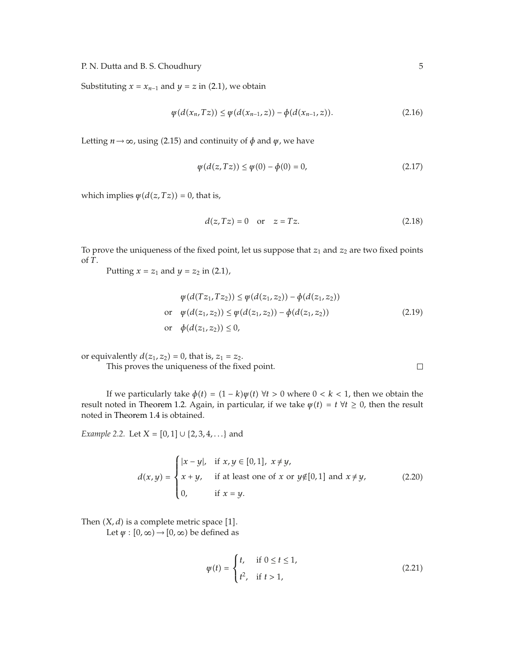P. N. Dutta and B. S. Choudhury 5

Substituting  $x = x_{n-1}$  and  $y = z$  in (2.1), we obtain

$$
\psi(d(x_n, Tz)) \le \psi(d(x_{n-1}, z)) - \phi(d(x_{n-1}, z)). \tag{2.16}
$$

Letting  $n \rightarrow \infty$ , using (2.15) and continuity of  $\phi$  and  $\psi$ , we have

$$
\psi(d(z, Tz)) \le \psi(0) - \phi(0) = 0,
$$
\n(2.17)

which implies  $\psi(d(z, Tz)) = 0$ , that is,

$$
d(z, Tz) = 0 \quad \text{or} \quad z = Tz. \tag{2.18}
$$

To prove the uniqueness of the fixed point, let us suppose that  $z_1$  and  $z_2$  are two fixed points of *T*.

Putting  $x = z_1$  and  $y = z_2$  in (2.1),

$$
\psi(d(Tz_1, Tz_2)) \le \psi(d(z_1, z_2)) - \phi(d(z_1, z_2))
$$
  
or 
$$
\psi(d(z_1, z_2)) \le \psi(d(z_1, z_2)) - \phi(d(z_1, z_2))
$$
  
or 
$$
\phi(d(z_1, z_2)) \le 0,
$$
 (2.19)

or equivalently  $d(z_1, z_2) = 0$ , that is,  $z_1 = z_2$ .

This proves the uniqueness of the fixed point.

If we particularly take  $\phi(t) = (1 - k)\psi(t) \ \forall t > 0$  where  $0 < k < 1$ , then we obtain the result noted in Theorem 1.2. Again, in particular, if we take  $\psi(t) = t \ \forall t \geq 0$ , then the result noted in Theorem 1.4 is obtained.

*Example 2.2.* Let  $X = [0, 1] \cup \{2, 3, 4, ...\}$  and

$$
d(x,y) = \begin{cases} |x-y|, & \text{if } x,y \in [0,1], \ x \neq y, \\ x+y, & \text{if at least one of } x \text{ or } y \notin [0,1] \text{ and } x \neq y, \\ 0, & \text{if } x=y. \end{cases}
$$
(2.20)

Then  $(X, d)$  is a complete metric space [1]. Let  $\psi$  :  $[0, \infty) \rightarrow [0, \infty)$  be defined as

$$
\psi(t) = \begin{cases} t, & \text{if } 0 \le t \le 1, \\ t^2, & \text{if } t > 1, \end{cases} \tag{2.21}
$$

 $\Box$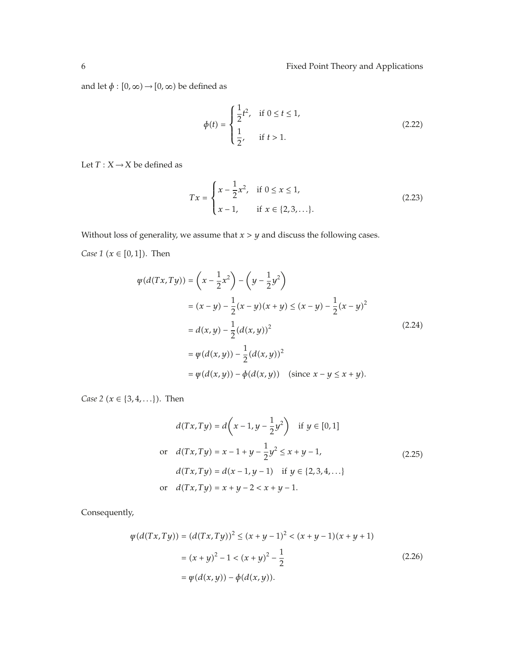and let  $\phi:[0,\infty)\rightarrow[0,\infty)$  be defined as

$$
\phi(t) = \begin{cases} \frac{1}{2}t^2, & \text{if } 0 \le t \le 1, \\ \frac{1}{2}, & \text{if } t > 1. \end{cases}
$$
 (2.22)

Let  $T: X \rightarrow X$  be defined as

$$
Tx = \begin{cases} x - \frac{1}{2}x^2, & \text{if } 0 \le x \le 1, \\ x - 1, & \text{if } x \in \{2, 3, \ldots\}. \end{cases}
$$
\n(2.23)

Without loss of generality, we assume that  $x > y$  and discuss the following cases.

*Case* 1 ( $x \in [0, 1]$ ). Then

$$
\psi(d(Tx,Ty)) = \left(x - \frac{1}{2}x^2\right) - \left(y - \frac{1}{2}y^2\right)
$$
  
\n
$$
= (x - y) - \frac{1}{2}(x - y)(x + y) \le (x - y) - \frac{1}{2}(x - y)^2
$$
  
\n
$$
= d(x,y) - \frac{1}{2}(d(x,y))^2
$$
  
\n
$$
= \psi(d(x,y)) - \frac{1}{2}(d(x,y))^2
$$
  
\n
$$
= \psi(d(x,y)) - \phi(d(x,y)) \quad \text{(since } x - y \le x + y).
$$
\n(2.24)

*Case* 2 ( $x \in \{3, 4, ...\}$ ). Then

$$
d(Tx, Ty) = d\left(x - 1, y - \frac{1}{2}y^2\right) \text{ if } y \in [0, 1]
$$
  
or 
$$
d(Tx, Ty) = x - 1 + y - \frac{1}{2}y^2 \le x + y - 1,
$$
  

$$
d(Tx, Ty) = d(x - 1, y - 1) \text{ if } y \in \{2, 3, 4, ...\}
$$
  
or 
$$
d(Tx, Ty) = x + y - 2 < x + y - 1.
$$
 (2.25)

Consequently,

$$
\psi(d(Tx, Ty)) = (d(Tx, Ty))^2 \le (x + y - 1)^2 < (x + y - 1)(x + y + 1)
$$
  
=  $(x + y)^2 - 1 < (x + y)^2 - \frac{1}{2}$  (2.26)  
=  $\psi(d(x, y)) - \phi(d(x, y)).$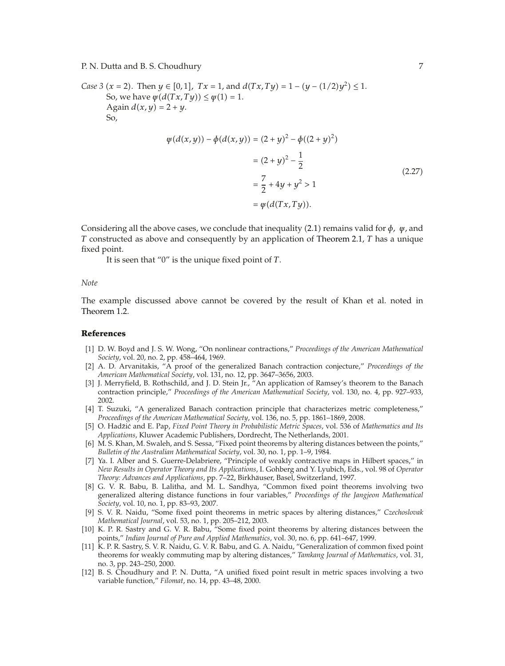P. N. Dutta and B. S. Choudhury 7

*Case 3* (*x* = 2). Then *y*  $\in$  [0,1], *Tx* = 1, and  $d(Tx, Ty) = 1 - (y - (1/2)y^2) \le 1$ . So, we have  $\psi(d(Tx, Ty)) \leq \psi(1) = 1$ . Again  $d(x, y) = 2 + y$ . So,

$$
\psi(d(x, y)) - \phi(d(x, y)) = (2 + y)^2 - \phi((2 + y)^2)
$$

$$
= (2 + y)^2 - \frac{1}{2}
$$

$$
= \frac{7}{2} + 4y + y^2 > 1
$$

$$
= \psi(d(Tx, Ty)).
$$
\n(2.27)

Considering all the above cases, we conclude that inequality (2.1) remains valid for *φ*, *ψ*, and *T* constructed as above and consequently by an application of Theorem 2.1, *T* has a unique fixed point.

It is seen that "0" is the unique fixed point of *T*.

#### *Note*

The example discussed above cannot be covered by the result of Khan et al. noted in Theorem 1.2.

#### **References**

- 1 D. W. Boyd and J. S. W. Wong, "On nonlinear contractions," *Proceedings of the American Mathematical Society*, vol. 20, no. 2, pp. 458–464, 1969.
- 2 A. D. Arvanitakis, "A proof of the generalized Banach contraction conjecture," *Proceedings of the American Mathematical Society*, vol. 131, no. 12, pp. 3647–3656, 2003.
- 3 J. Merryfield, B. Rothschild, and J. D. Stein Jr., "An application of Ramsey's theorem to the Banach contraction principle," *Proceedings of the American Mathematical Society*, vol. 130, no. 4, pp. 927–933, 2002.
- [4] T. Suzuki, "A generalized Banach contraction principle that characterizes metric completeness," *Proceedings of the American Mathematical Society*, vol. 136, no. 5, pp. 1861–1869, 2008.
- 5 O. Hadziˇ c and E. Pap, ´ *Fixed Point Theory in Probabilistic Metric Spaces*, vol. 536 of *Mathematics and Its Applications*, Kluwer Academic Publishers, Dordrecht, The Netherlands, 2001.
- [6] M. S. Khan, M. Swaleh, and S. Sessa, "Fixed point theorems by altering distances between the points," *Bulletin of the Australian Mathematical Society*, vol. 30, no. 1, pp. 1–9, 1984.
- 7 Ya. I. Alber and S. Guerre-Delabriere, "Principle of weakly contractive maps in Hilbert spaces," in *New Results in Operator Theory and Its Applications*, I. Gohberg and Y. Lyubich, Eds., vol. 98 of *Operator Theory: Advances and Applications*, pp. 7–22, Birkhauser, Basel, Switzerland, 1997. ¨
- [8] G. V. R. Babu, B. Lalitha, and M. L. Sandhya, "Common fixed point theorems involving two generalized altering distance functions in four variables," *Proceedings of the Jangjeon Mathematical Society*, vol. 10, no. 1, pp. 83–93, 2007.
- 9 S. V. R. Naidu, "Some fixed point theorems in metric spaces by altering distances," *Czechoslovak Mathematical Journal*, vol. 53, no. 1, pp. 205–212, 2003.
- [10] K. P. R. Sastry and G. V. R. Babu, "Some fixed point theorems by altering distances between the points," *Indian Journal of Pure and Applied Mathematics*, vol. 30, no. 6, pp. 641–647, 1999.
- 11 K. P. R. Sastry, S. V. R. Naidu, G. V. R. Babu, and G. A. Naidu, "Generalization of common fixed point theorems for weakly commuting map by altering distances," *Tamkang Journal of Mathematics*, vol. 31, no. 3, pp. 243–250, 2000.
- 12 B. S. Choudhury and P. N. Dutta, "A unified fixed point result in metric spaces involving a two variable function," *Filomat*, no. 14, pp. 43–48, 2000.